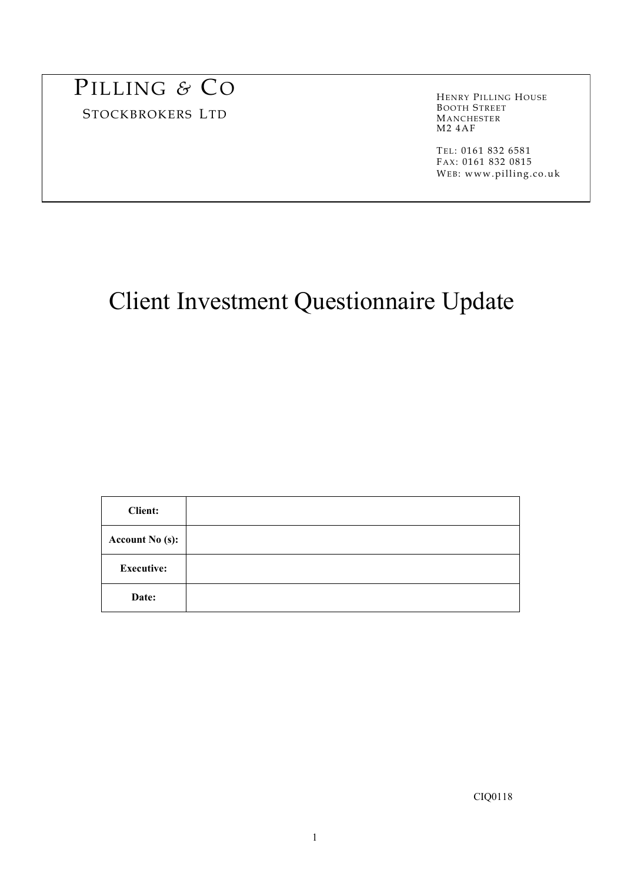# PILLING *&* CO

STOCKBROKERS LTD

HENRY PILLING HOUSE BOOTH STREET MANCHESTER M2 4AF

 TEL: 0161 832 6581 FAX: 0161 832 0815 WEB: www.pilling.co.uk

# Client Investment Questionnaire Update

| <b>Client:</b>         |  |
|------------------------|--|
| <b>Account No (s):</b> |  |
| <b>Executive:</b>      |  |
| Date:                  |  |

CIQ0118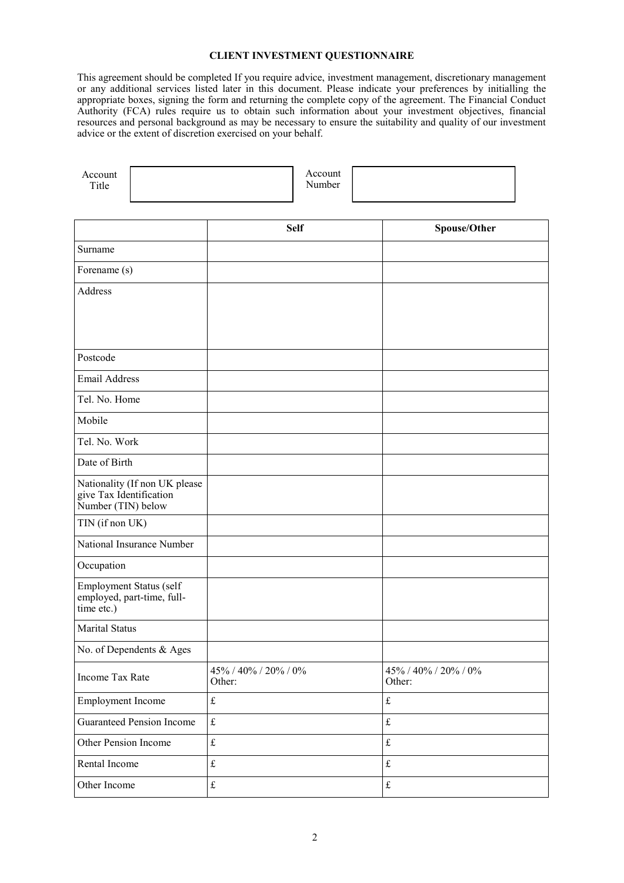# **CLIENT INVESTMENT QUESTIONNAIRE**

This agreement should be completed If you require advice, investment management, discretionary management or any additional services listed later in this document. Please indicate your preferences by initialling the appropriate boxes, signing the form and returning the complete copy of the agreement. The Financial Conduct Authority (FCA) rules require us to obtain such information about your investment objectives, financial resources and personal background as may be necessary to ensure the suitability and quality of our investment advice or the extent of discretion exercised on your behalf.

| Account<br>Title                                                               |                                | Account<br>Number |                                |
|--------------------------------------------------------------------------------|--------------------------------|-------------------|--------------------------------|
|                                                                                |                                |                   |                                |
|                                                                                |                                | <b>Self</b>       | Spouse/Other                   |
| Surname                                                                        |                                |                   |                                |
| Forename (s)                                                                   |                                |                   |                                |
| Address                                                                        |                                |                   |                                |
|                                                                                |                                |                   |                                |
|                                                                                |                                |                   |                                |
| Postcode                                                                       |                                |                   |                                |
| <b>Email Address</b>                                                           |                                |                   |                                |
| Tel. No. Home                                                                  |                                |                   |                                |
| Mobile                                                                         |                                |                   |                                |
| Tel. No. Work                                                                  |                                |                   |                                |
| Date of Birth                                                                  |                                |                   |                                |
| Nationality (If non UK please<br>give Tax Identification<br>Number (TIN) below |                                |                   |                                |
| TIN (if non UK)                                                                |                                |                   |                                |
| National Insurance Number                                                      |                                |                   |                                |
| Occupation                                                                     |                                |                   |                                |
| Employment Status (self<br>employed, part-time, full-<br>time etc.)            |                                |                   |                                |
| Marital Status                                                                 |                                |                   |                                |
| No. of Dependents & Ages                                                       |                                |                   |                                |
| Income Tax Rate                                                                | 45% / 40% / 20% / 0%<br>Other: |                   | 45% / 40% / 20% / 0%<br>Other: |
| <b>Employment Income</b>                                                       | $\pounds$                      |                   | $\pounds$                      |
| <b>Guaranteed Pension Income</b>                                               | $\mathbf f$                    |                   | $\pounds$                      |
| Other Pension Income                                                           | $\mathbf f$                    |                   | $\pounds$                      |
| Rental Income                                                                  | $\pounds$                      |                   | $\pounds$                      |
| Other Income                                                                   | $\pounds$                      |                   | $\pounds$                      |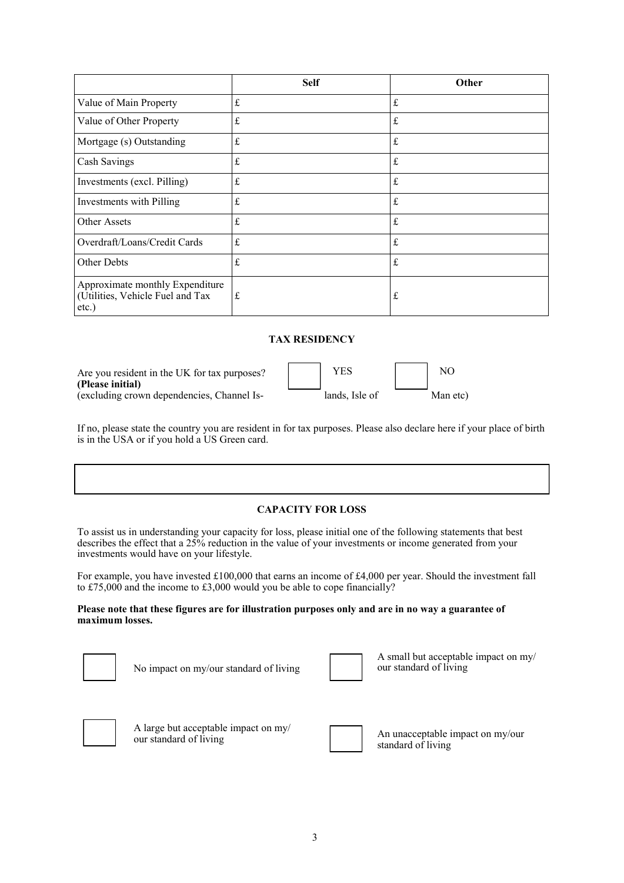|                                                                              | <b>Self</b> | Other       |
|------------------------------------------------------------------------------|-------------|-------------|
| Value of Main Property                                                       | $\pounds$   | $\pounds$   |
| Value of Other Property                                                      | £           | $f_{\rm L}$ |
| Mortgage (s) Outstanding                                                     | $\pounds$   | $\pounds$   |
| Cash Savings                                                                 | $\pounds$   | $\pounds$   |
| Investments (excl. Pilling)                                                  | $\pounds$   | $\pounds$   |
| Investments with Pilling                                                     | £           | $\pounds$   |
| Other Assets                                                                 | $\pounds$   | $f_{\rm L}$ |
| Overdraft/Loans/Credit Cards                                                 | £           | $f_{\rm L}$ |
| Other Debts                                                                  | £           | $\pounds$   |
| Approximate monthly Expenditure<br>(Utilities, Vehicle Fuel and Tax<br>etc.) | £           | $\mathbf f$ |

# **TAX RESIDENCY**

| Are you resident in the UK for tax purposes? |
|----------------------------------------------|
| (Please initial)                             |
| (excluding crown dependencies, Channel Is-   |

| Are you resident in the UK for tax purposes?<br>(Please initial) | YES.           | NC       |
|------------------------------------------------------------------|----------------|----------|
| (excluding crown dependencies, Channel Is-                       | lands. Isle of | Man etc) |

If no, please state the country you are resident in for tax purposes. Please also declare here if your place of birth is in the USA or if you hold a US Green card.

# **CAPACITY FOR LOSS**

To assist us in understanding your capacity for loss, please initial one of the following statements that best describes the effect that a 25% reduction in the value of your investments or income generated from your investments would have on your lifestyle.

For example, you have invested £100,000 that earns an income of £4,000 per year. Should the investment fall to £75,000 and the income to £3,000 would you be able to cope financially?

#### **Please note that these figures are for illustration purposes only and are in no way a guarantee of maximum losses.**

| ┃ |  | $\overline{\phantom{a}}$ |  |
|---|--|--------------------------|--|
|   |  |                          |  |

No impact on my/our standard of living

| $\overline{\phantom{a}}$ |
|--------------------------|
|                          |
|                          |
|                          |
|                          |
|                          |
|                          |
|                          |
|                          |
|                          |
|                          |
|                          |
|                          |
|                          |

A small but acceptable impact on my/ our standard of living



A large but acceptable impact on my/<br>our standard of living

An unacceptable impact on my/our standard of living

3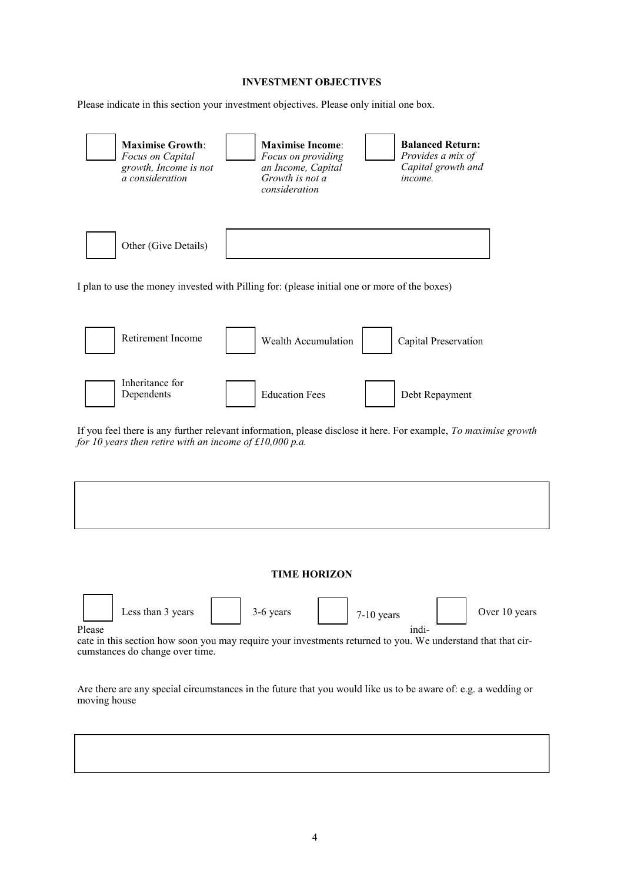# **INVESTMENT OBJECTIVES**

Please indicate in this section your investment objectives. Please only initial one box.





If you feel there is any further relevant information, please disclose it here. For example, *To maximise growth for 10 years then retire with an income of £10,000 p.a.*

#### **TIME HORIZON**

Less than 3 years  $\begin{array}{|c|c|c|c|c|c|} \hline \end{array}$  3-6 years  $\begin{array}{|c|c|c|c|c|c|} \hline \end{array}$  7-10 years  $\begin{array}{|c|c|c|c|c|c|} \hline \end{array}$  Over 10 years

Please indi-

cate in this section how soon you may require your investments returned to you. We understand that that circumstances do change over time.

Are there are any special circumstances in the future that you would like us to be aware of: e.g. a wedding or moving house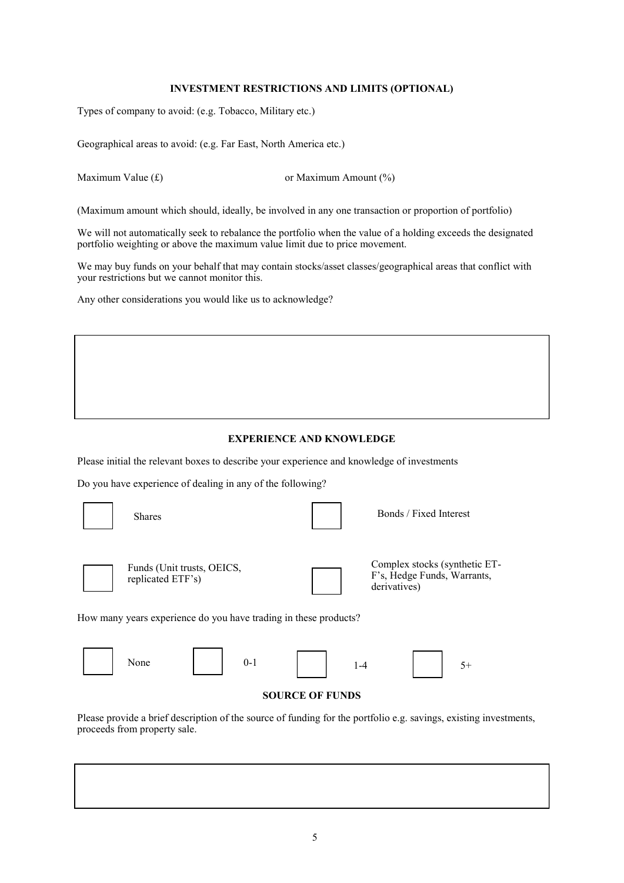# **INVESTMENT RESTRICTIONS AND LIMITS (OPTIONAL)**

Types of company to avoid: (e.g. Tobacco, Military etc.)

Geographical areas to avoid: (e.g. Far East, North America etc.)

Maximum Value  $(f)$  or Maximum Amount  $(\%)$ 

(Maximum amount which should, ideally, be involved in any one transaction or proportion of portfolio)

We will not automatically seek to rebalance the portfolio when the value of a holding exceeds the designated portfolio weighting or above the maximum value limit due to price movement.

We may buy funds on your behalf that may contain stocks/asset classes/geographical areas that conflict with your restrictions but we cannot monitor this.

Any other considerations you would like us to acknowledge?

# **EXPERIENCE AND KNOWLEDGE**

Please initial the relevant boxes to describe your experience and knowledge of investments

Do you have experience of dealing in any of the following?

| <b>Shares</b>                                   |         |                                                                  |         | Bonds / Fixed Interest                                                       |      |
|-------------------------------------------------|---------|------------------------------------------------------------------|---------|------------------------------------------------------------------------------|------|
| Funds (Unit trusts, OEICS,<br>replicated ETF's) |         |                                                                  |         | Complex stocks (synthetic ET-<br>F's, Hedge Funds, Warrants,<br>derivatives) |      |
|                                                 |         | How many years experience do you have trading in these products? |         |                                                                              |      |
| None                                            | $0 - 1$ |                                                                  | $1 - 4$ |                                                                              | $5+$ |
|                                                 |         | <b>SOURCE OF FUNDS</b>                                           |         |                                                                              |      |

Please provide a brief description of the source of funding for the portfolio e.g. savings, existing investments, proceeds from property sale.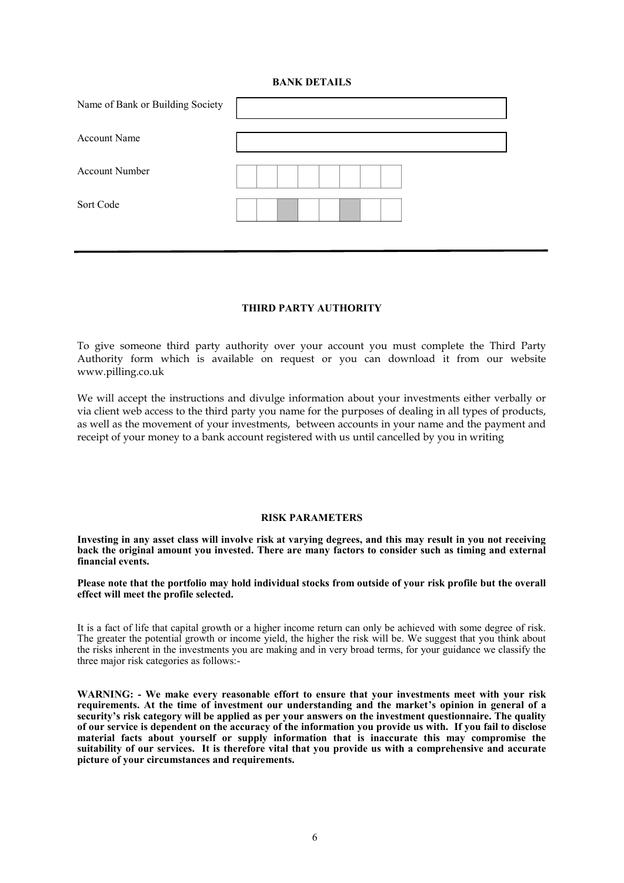#### **BANK DETAILS**

| Name of Bank or Building Society |  |
|----------------------------------|--|
| <b>Account Name</b>              |  |
| <b>Account Number</b>            |  |
| Sort Code                        |  |
|                                  |  |

# **THIRD PARTY AUTHORITY**

To give someone third party authority over your account you must complete the Third Party Authority form which is available on request or you can download it from our website www.pilling.co.uk

We will accept the instructions and divulge information about your investments either verbally or via client web access to the third party you name for the purposes of dealing in all types of products, as well as the movement of your investments, between accounts in your name and the payment and receipt of your money to a bank account registered with us until cancelled by you in writing

#### **RISK PARAMETERS**

**Investing in any asset class will involve risk at varying degrees, and this may result in you not receiving back the original amount you invested. There are many factors to consider such as timing and external financial events.**

**Please note that the portfolio may hold individual stocks from outside of your risk profile but the overall effect will meet the profile selected.** 

It is a fact of life that capital growth or a higher income return can only be achieved with some degree of risk. The greater the potential growth or income yield, the higher the risk will be. We suggest that you think about the risks inherent in the investments you are making and in very broad terms, for your guidance we classify the three major risk categories as follows:-

**WARNING: - We make every reasonable effort to ensure that your investments meet with your risk requirements. At the time of investment our understanding and the market's opinion in general of a security's risk category will be applied as per your answers on the investment questionnaire. The quality of our service is dependent on the accuracy of the information you provide us with. If you fail to disclose material facts about yourself or supply information that is inaccurate this may compromise the suitability of our services. It is therefore vital that you provide us with a comprehensive and accurate picture of your circumstances and requirements.**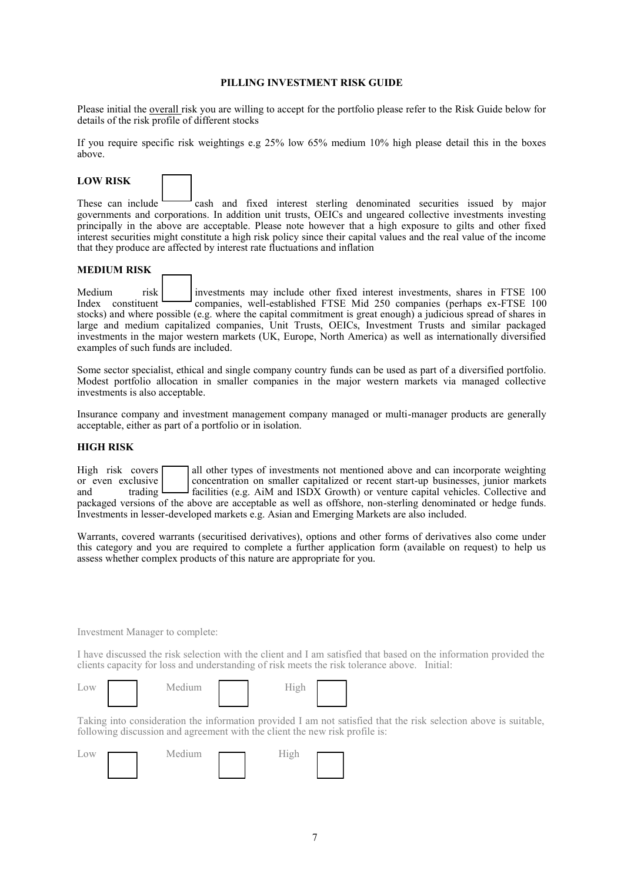#### **PILLING INVESTMENT RISK GUIDE**

Please initial the overall risk you are willing to accept for the portfolio please refer to the Risk Guide below for details of the risk profile of different stocks

If you require specific risk weightings e.g 25% low 65% medium 10% high please detail this in the boxes above.

# **LOW RISK**

These can include  $\sim$  cash and fixed interest sterling denominated securities issued by major governments and corporations. In addition unit trusts, OEICs and ungeared collective investments investing principally in the above are acceptable. Please note however that a high exposure to gilts and other fixed interest securities might constitute a high risk policy since their capital values and the real value of the income that they produce are affected by interest rate fluctuations and inflation

#### **MEDIUM RISK**

Medium risk investments may include other fixed interest investments, shares in FTSE 100 Index constituent companies, well-established FTSE Mid 250 companies (perhaps ex-FTSE 100 stocks) and where possible (e.g. where the capital commitment is great enough) a judicious spread of shares in large and medium capitalized companies, Unit Trusts, OEICs, Investment Trusts and similar packaged investments in the major western markets (UK, Europe, North America) as well as internationally diversified examples of such funds are included.

Some sector specialist, ethical and single company country funds can be used as part of a diversified portfolio. Modest portfolio allocation in smaller companies in the major western markets via managed collective investments is also acceptable.

Insurance company and investment management company managed or multi-manager products are generally acceptable, either as part of a portfolio or in isolation.

#### **HIGH RISK**

High risk covers  $\Box$  all other types of investments not mentioned above and can incorporate weighting or even exclusive concentration on smaller capitalized or recent start-up businesses, junior markets<br>and trading facilities (e.g. AiM and ISDX Growth) or venture capital vehicles. Collective and trading  $\Box$  facilities (e.g. AiM and ISDX Growth) or venture capital vehicles. Collective and packaged versions of the above are acceptable as well as offshore, non-sterling denominated or hedge funds. Investments in lesser-developed markets e.g. Asian and Emerging Markets are also included.

Warrants, covered warrants (securitised derivatives), options and other forms of derivatives also come under this category and you are required to complete a further application form (available on request) to help us assess whether complex products of this nature are appropriate for you.

Investment Manager to complete:

I have discussed the risk selection with the client and I am satisfied that based on the information provided the clients capacity for loss and understanding of risk meets the risk tolerance above. Initial:

| LOW | Medium | $\tau_{\rm{tot}}$ |
|-----|--------|-------------------|
|     |        |                   |



Taking into consideration the information provided I am not satisfied that the risk selection above is suitable, following discussion and agreement with the client the new risk profile is:

| Low | Medium | $\sim$ 1 |  |
|-----|--------|----------|--|
|     |        |          |  |